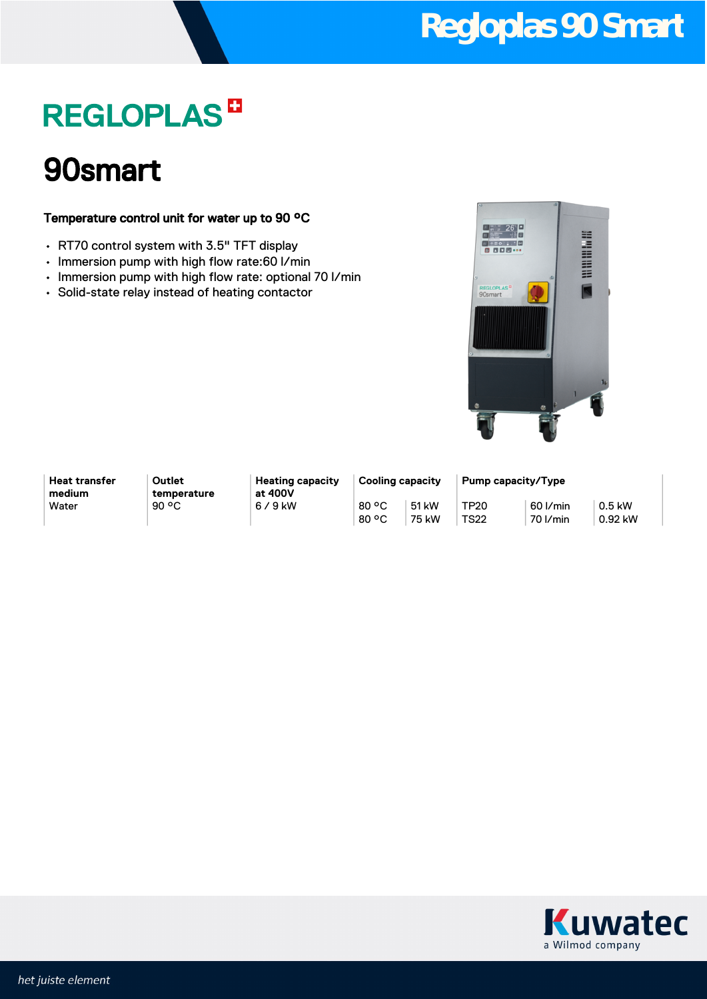# **Regloplas 90 Smart**

# **REGLOPLAS<sup>D</sup>**

### 90smart

#### Temperature control unit for water up to 90 °C

- RT70 control system with 3.5" TFT display
- Immersion pump with high flow rate:60 l/min
- Immersion pump with high flow rate: optional 70 l/min
- Solid-state relay instead of heating contactor



| <b>Heat transfer</b> |
|----------------------|
| medium               |
| Water                |

**Outlet temperature** **Heating capacity at 400V**  $6/9$  kW 80 °C

80 °C 51 kW 75 kW

**Cooling capacity Pump capacity/Type** TP20 TS22 60 l/min 70 l/min

0.5 kW 0.92 kW

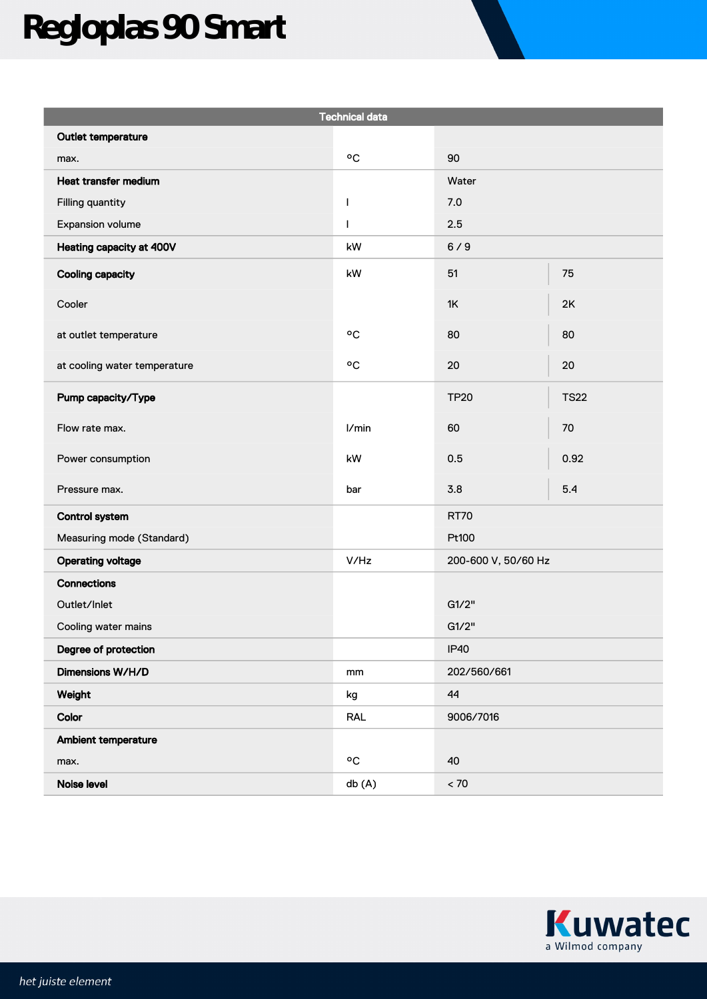# **Regloplas 90 Smart**

| <b>Technical data</b>        |                        |                     |             |  |
|------------------------------|------------------------|---------------------|-------------|--|
| Outlet temperature           |                        |                     |             |  |
| max.                         | °C                     | 90                  |             |  |
| Heat transfer medium         |                        | Water               |             |  |
| Filling quantity             | $\mathbf{I}$           | 7.0                 |             |  |
| Expansion volume             | $\mathsf{I}$           | 2.5                 |             |  |
| Heating capacity at 400V     | $\mathsf{k}\mathsf{W}$ | 6/9                 |             |  |
| <b>Cooling capacity</b>      | $\mathsf{k}\mathsf{W}$ | 51                  | 75          |  |
| Cooler                       |                        | 1K                  | 2K          |  |
| at outlet temperature        | $^{\circ}$ C           | 80                  | 80          |  |
| at cooling water temperature | $\circ \texttt{C}$     | 20                  | 20          |  |
| Pump capacity/Type           |                        | <b>TP20</b>         | <b>TS22</b> |  |
| Flow rate max.               | I/min                  | 60                  | 70          |  |
| Power consumption            | kW                     | 0.5                 | 0.92        |  |
| Pressure max.                | bar                    | 3.8                 | 5.4         |  |
| <b>Control system</b>        |                        | <b>RT70</b>         |             |  |
| Measuring mode (Standard)    |                        | Pt100               |             |  |
| <b>Operating voltage</b>     | V/Hz                   | 200-600 V, 50/60 Hz |             |  |
| <b>Connections</b>           |                        |                     |             |  |
| Outlet/Inlet                 |                        | G1/2"               |             |  |
| Cooling water mains          |                        | G1/2"               |             |  |
| Degree of protection         |                        | <b>IP40</b>         |             |  |
| Dimensions W/H/D             | mm                     | 202/560/661         |             |  |
| Weight                       | kg                     | 44                  |             |  |
| Color                        | <b>RAL</b>             | 9006/7016           |             |  |
| Ambient temperature          |                        |                     |             |  |
| max.                         | $\circ \texttt{C}$     | 40                  |             |  |
| Noise level                  | db (A)                 | $< 70$              |             |  |